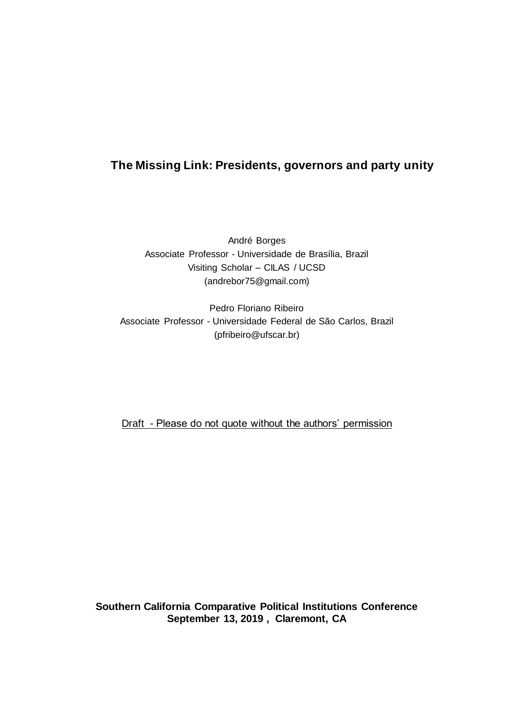# **The Missing Link: Presidents, governors and party unity**

André Borges Associate Professor - Universidade de Brasília, Brazil Visiting Scholar – CILAS / UCSD (andrebor75@gmail.com)

Pedro Floriano Ribeiro Associate Professor - Universidade Federal de São Carlos, Brazil (pfribeiro@ufscar.br)

Draft - Please do not quote without the authors' permission

**Southern California Comparative Political Institutions Conference September 13, 2019 , Claremont, CA**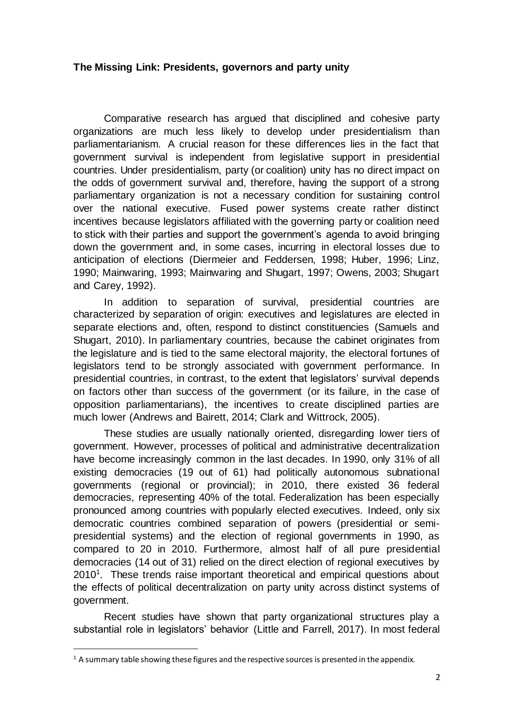#### **The Missing Link: Presidents, governors and party unity**

Comparative research has argued that disciplined and cohesive party organizations are much less likely to develop under presidentialism than parliamentarianism. A crucial reason for these differences lies in the fact that government survival is independent from legislative support in presidential countries. Under presidentialism, party (or coalition) unity has no direct impact on the odds of government survival and, therefore, having the support of a strong parliamentary organization is not a necessary condition for sustaining control over the national executive. Fused power systems create rather distinct incentives because legislators affiliated with the governing party or coalition need to stick with their parties and support the government's agenda to avoid bringing down the government and, in some cases, incurring in electoral losses due to anticipation of elections (Diermeier and Feddersen, 1998; Huber, 1996; Linz, 1990; Mainwaring, 1993; Mainwaring and Shugart, 1997; Owens, 2003; Shugart and Carey, 1992).

In addition to separation of survival, presidential countries are characterized by separation of origin: executives and legislatures are elected in separate elections and, often, respond to distinct constituencies (Samuels and Shugart, 2010). In parliamentary countries, because the cabinet originates from the legislature and is tied to the same electoral majority, the electoral fortunes of legislators tend to be strongly associated with government performance. In presidential countries, in contrast, to the extent that legislators' survival depends on factors other than success of the government (or its failure, in the case of opposition parliamentarians), the incentives to create disciplined parties are much lower (Andrews and Bairett, 2014; Clark and Wittrock, 2005).

These studies are usually nationally oriented, disregarding lower tiers of government. However, processes of political and administrative decentralization have become increasingly common in the last decades. In 1990, only 31% of all existing democracies (19 out of 61) had politically autonomous subnational governments (regional or provincial); in 2010, there existed 36 federal democracies, representing 40% of the total. Federalization has been especially pronounced among countries with popularly elected executives. Indeed, only six democratic countries combined separation of powers (presidential or semipresidential systems) and the election of regional governments in 1990, as compared to 20 in 2010. Furthermore, almost half of all pure presidential democracies (14 out of 31) relied on the direct election of regional executives by 2010<sup>1</sup>. These trends raise important theoretical and empirical questions about the effects of political decentralization on party unity across distinct systems of government.

Recent studies have shown that party organizational structures play a substantial role in legislators' behavior (Little and Farrell, 2017). In most federal

 $1$  A summary table showing these figures and the respective sources is presented in the appendix.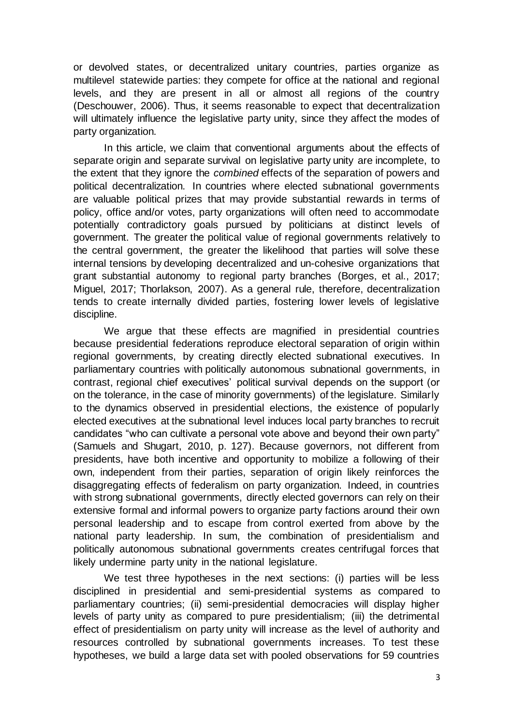or devolved states, or decentralized unitary countries, parties organize as multilevel statewide parties: they compete for office at the national and regional levels, and they are present in all or almost all regions of the country (Deschouwer, 2006). Thus, it seems reasonable to expect that decentralization will ultimately influence the legislative party unity, since they affect the modes of party organization.

In this article, we claim that conventional arguments about the effects of separate origin and separate survival on legislative party unity are incomplete, to the extent that they ignore the *combined* effects of the separation of powers and political decentralization. In countries where elected subnational governments are valuable political prizes that may provide substantial rewards in terms of policy, office and/or votes, party organizations will often need to accommodate potentially contradictory goals pursued by politicians at distinct levels of government. The greater the political value of regional governments relatively to the central government, the greater the likelihood that parties will solve these internal tensions by developing decentralized and un-cohesive organizations that grant substantial autonomy to regional party branches (Borges, et al., 2017; Miguel, 2017; Thorlakson, 2007). As a general rule, therefore, decentralization tends to create internally divided parties, fostering lower levels of legislative discipline.

We argue that these effects are magnified in presidential countries because presidential federations reproduce electoral separation of origin within regional governments, by creating directly elected subnational executives. In parliamentary countries with politically autonomous subnational governments, in contrast, regional chief executives' political survival depends on the support (or on the tolerance, in the case of minority governments) of the legislature. Similarly to the dynamics observed in presidential elections, the existence of popularly elected executives at the subnational level induces local party branches to recruit candidates "who can cultivate a personal vote above and beyond their own party" (Samuels and Shugart, 2010, p. 127). Because governors, not different from presidents, have both incentive and opportunity to mobilize a following of their own, independent from their parties, separation of origin likely reinforces the disaggregating effects of federalism on party organization. Indeed, in countries with strong subnational governments, directly elected governors can rely on their extensive formal and informal powers to organize party factions around their own personal leadership and to escape from control exerted from above by the national party leadership. In sum, the combination of presidentialism and politically autonomous subnational governments creates centrifugal forces that likely undermine party unity in the national legislature.

We test three hypotheses in the next sections: (i) parties will be less disciplined in presidential and semi-presidential systems as compared to parliamentary countries; (ii) semi-presidential democracies will display higher levels of party unity as compared to pure presidentialism; (iii) the detrimental effect of presidentialism on party unity will increase as the level of authority and resources controlled by subnational governments increases. To test these hypotheses, we build a large data set with pooled observations for 59 countries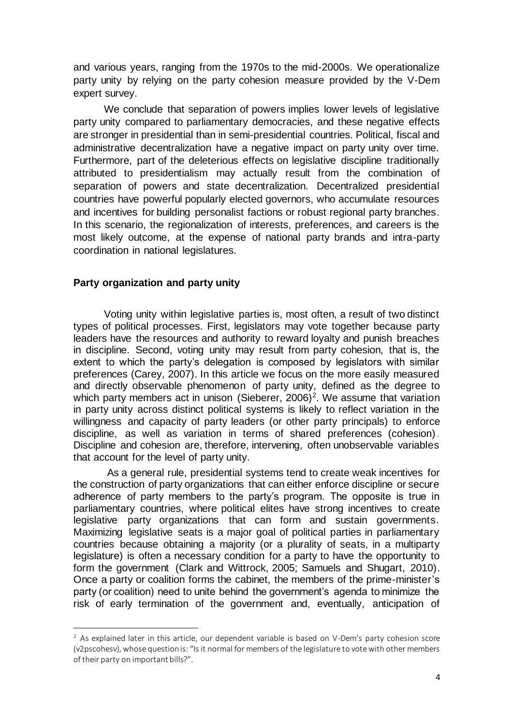and various years, ranging from the 1970s to the mid-2000s. We operationalize party unity by relying on the party cohesion measure provided by the V-Dem expert survey.

We conclude that separation of powers implies lower levels of legislative party unity compared to parliamentary democracies, and these negative effects are stronger in presidential than in semi-presidential countries. Political, fiscal and administrative decentralization have a negative impact on party unity over time. Furthermore, part of the deleterious effects on legislative discipline traditionally attributed to presidentialism may actually result from the combination of separation of powers and state decentralization. Decentralized presidential countries have powerful popularly elected governors, who accumulate resources and incentives for building personalist factions or robust regional party branches. In this scenario, the regionalization of interests, preferences, and careers is the most likely outcome, at the expense of national party brands and intra-party coordination in national legislatures.

# **Party organization and party unity**

 $\overline{a}$ 

Voting unity within legislative parties is, most often, a result of two distinct types of political processes. First, legislators may vote together because party leaders have the resources and authority to reward loyalty and punish breaches in discipline. Second, voting unity may result from party cohesion, that is, the extent to which the party's delegation is composed by legislators with similar preferences (Carey, 2007). In this article we focus on the more easily measured and directly observable phenomenon of party unity, defined as the degree to which party members act in unison (Sieberer, 2006)<sup>2</sup>. We assume that variation in party unity across distinct political systems is likely to reflect variation in the willingness and capacity of party leaders (or other party principals) to enforce discipline, as well as variation in terms of shared preferences (cohesion). Discipline and cohesion are, therefore, intervening, often unobservable variables that account for the level of party unity.

As a general rule, presidential systems tend to create weak incentives for the construction of party organizations that can either enforce discipline or secure adherence of party members to the party's program. The opposite is true in parliamentary countries, where political elites have strong incentives to create legislative party organizations that can form and sustain governments. Maximizing legislative seats is a major goal of political parties in parliamentary countries because obtaining a majority (or a plurality of seats, in a multiparty legislature) is often a necessary condition for a party to have the opportunity to form the government (Clark and Wittrock, 2005; Samuels and Shugart, 2010). Once a party or coalition forms the cabinet, the members of the prime-minister's party (or coalition) need to unite behind the government's agenda to minimize the risk of early termination of the government and, eventually, anticipation of

 $<sup>2</sup>$  As explained later in this article, our dependent variable is based on V-Dem's party cohesion score</sup> (v2pscohesv), whose question is: "Is it normal for members of the legislature to vote with other members of their party on important bills?".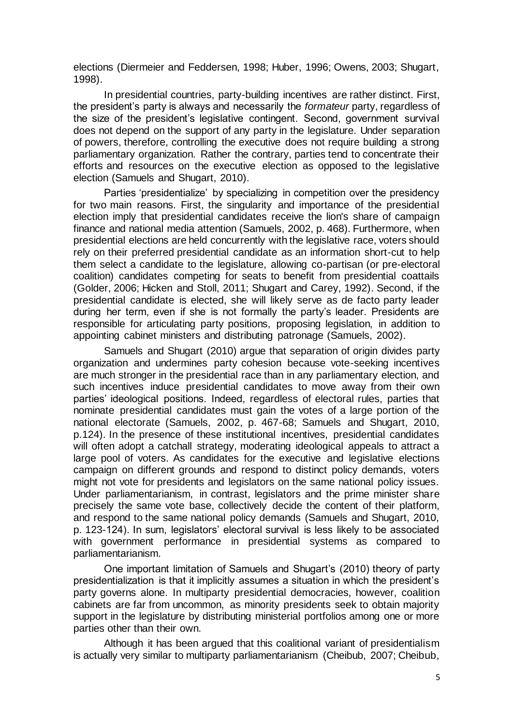elections (Diermeier and Feddersen, 1998; Huber, 1996; Owens, 2003; Shugart, 1998).

In presidential countries, party-building incentives are rather distinct. First, the president's party is always and necessarily the *formateur* party, regardless of the size of the president's legislative contingent. Second, government survival does not depend on the support of any party in the legislature. Under separation of powers, therefore, controlling the executive does not require building a strong parliamentary organization. Rather the contrary, parties tend to concentrate their efforts and resources on the executive election as opposed to the legislative election (Samuels and Shugart, 2010).

Parties 'presidentialize' by specializing in competition over the presidency for two main reasons. First, the singularity and importance of the presidential election imply that presidential candidates receive the lion's share of campaign finance and national media attention (Samuels, 2002, p. 468). Furthermore, when presidential elections are held concurrently with the legislative race, voters should rely on their preferred presidential candidate as an information short-cut to help them select a candidate to the legislature, allowing co-partisan (or pre-electoral coalition) candidates competing for seats to benefit from presidential coattails (Golder, 2006; Hicken and Stoll, 2011; Shugart and Carey, 1992). Second, if the presidential candidate is elected, she will likely serve as de facto party leader during her term, even if she is not formally the party's leader. Presidents are responsible for articulating party positions, proposing legislation, in addition to appointing cabinet ministers and distributing patronage (Samuels, 2002).

Samuels and Shugart (2010) argue that separation of origin divides party organization and undermines party cohesion because vote-seeking incentives are much stronger in the presidential race than in any parliamentary election, and such incentives induce presidential candidates to move away from their own parties' ideological positions. Indeed, regardless of electoral rules, parties that nominate presidential candidates must gain the votes of a large portion of the national electorate (Samuels, 2002, p. 467-68; Samuels and Shugart, 2010, p.124). In the presence of these institutional incentives, presidential candidates will often adopt a catchall strategy, moderating ideological appeals to attract a large pool of voters. As candidates for the executive and legislative elections campaign on different grounds and respond to distinct policy demands, voters might not vote for presidents and legislators on the same national policy issues. Under parliamentarianism, in contrast, legislators and the prime minister share precisely the same vote base, collectively decide the content of their platform, and respond to the same national policy demands (Samuels and Shugart, 2010, p. 123-124). In sum, legislators' electoral survival is less likely to be associated with government performance in presidential systems as compared to parliamentarianism.

One important limitation of Samuels and Shugart's (2010) theory of party presidentialization is that it implicitly assumes a situation in which the president's party governs alone. In multiparty presidential democracies, however, coalition cabinets are far from uncommon, as minority presidents seek to obtain majority support in the legislature by distributing ministerial portfolios among one or more parties other than their own.

Although it has been argued that this coalitional variant of presidentialism is actually very similar to multiparty parliamentarianism (Cheibub, 2007; Cheibub,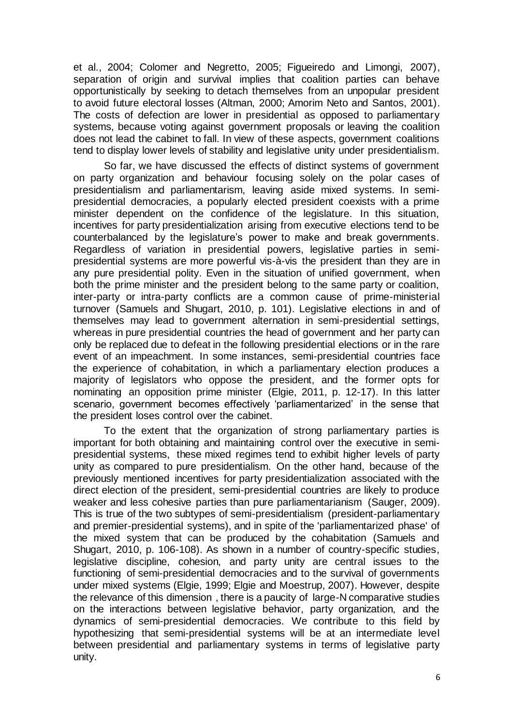et al., 2004; Colomer and Negretto, 2005; Figueiredo and Limongi, 2007), separation of origin and survival implies that coalition parties can behave opportunistically by seeking to detach themselves from an unpopular president to avoid future electoral losses (Altman, 2000; Amorim Neto and Santos, 2001). The costs of defection are lower in presidential as opposed to parliamentary systems, because voting against government proposals or leaving the coalition does not lead the cabinet to fall. In view of these aspects, government coalitions tend to display lower levels of stability and legislative unity under presidentialism.

So far, we have discussed the effects of distinct systems of government on party organization and behaviour focusing solely on the polar cases of presidentialism and parliamentarism, leaving aside mixed systems. In semipresidential democracies, a popularly elected president coexists with a prime minister dependent on the confidence of the legislature. In this situation, incentives for party presidentialization arising from executive elections tend to be counterbalanced by the legislature's power to make and break governments. Regardless of variation in presidential powers, legislative parties in semipresidential systems are more powerful vis-à-vis the president than they are in any pure presidential polity. Even in the situation of unified government, when both the prime minister and the president belong to the same party or coalition, inter-party or intra-party conflicts are a common cause of prime-ministerial turnover (Samuels and Shugart, 2010, p. 101). Legislative elections in and of themselves may lead to government alternation in semi-presidential settings, whereas in pure presidential countries the head of government and her party can only be replaced due to defeat in the following presidential elections or in the rare event of an impeachment. In some instances, semi-presidential countries face the experience of cohabitation, in which a parliamentary election produces a majority of legislators who oppose the president, and the former opts for nominating an opposition prime minister (Elgie, 2011, p. 12-17). In this latter scenario, government becomes effectively 'parliamentarized' in the sense that the president loses control over the cabinet.

To the extent that the organization of strong parliamentary parties is important for both obtaining and maintaining control over the executive in semipresidential systems, these mixed regimes tend to exhibit higher levels of party unity as compared to pure presidentialism. On the other hand, because of the previously mentioned incentives for party presidentialization associated with the direct election of the president, semi-presidential countries are likely to produce weaker and less cohesive parties than pure parliamentarianism (Sauger, 2009). This is true of the two subtypes of semi-presidentialism (president-parliamentary and premier-presidential systems), and in spite of the 'parliamentarized phase' of the mixed system that can be produced by the cohabitation (Samuels and Shugart, 2010, p. 106-108). As shown in a number of country-specific studies, legislative discipline, cohesion, and party unity are central issues to the functioning of semi-presidential democracies and to the survival of governments under mixed systems (Elgie, 1999; Elgie and Moestrup, 2007). However, despite the relevance of this dimension , there is a paucity of large-N comparative studies on the interactions between legislative behavior, party organization, and the dynamics of semi-presidential democracies. We contribute to this field by hypothesizing that semi-presidential systems will be at an intermediate level between presidential and parliamentary systems in terms of legislative party unity.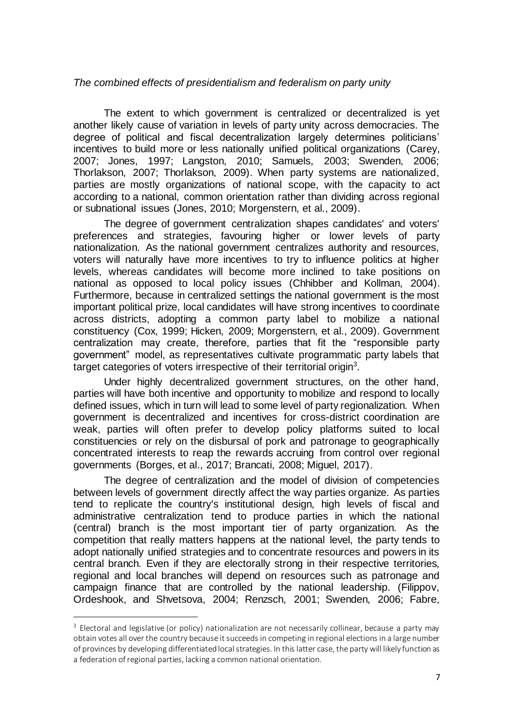# *The combined effects of presidentialism and federalism on party unity*

The extent to which government is centralized or decentralized is yet another likely cause of variation in levels of party unity across democracies. The degree of political and fiscal decentralization largely determines politicians' incentives to build more or less nationally unified political organizations (Carey, 2007; Jones, 1997; Langston, 2010; Samuels, 2003; Swenden, 2006; Thorlakson, 2007; Thorlakson, 2009). When party systems are nationalized, parties are mostly organizations of national scope, with the capacity to act according to a national, common orientation rather than dividing across regional or subnational issues (Jones, 2010; Morgenstern, et al., 2009).

The degree of government centralization shapes candidates' and voters' preferences and strategies, favouring higher or lower levels of party nationalization. As the national government centralizes authority and resources, voters will naturally have more incentives to try to influence politics at higher levels, whereas candidates will become more inclined to take positions on national as opposed to local policy issues (Chhibber and Kollman, 2004). Furthermore, because in centralized settings the national government is the most important political prize, local candidates will have strong incentives to coordinate across districts, adopting a common party label to mobilize a national constituency (Cox, 1999; Hicken, 2009; Morgenstern, et al., 2009). Government centralization may create, therefore, parties that fit the "responsible party government" model, as representatives cultivate programmatic party labels that target categories of voters irrespective of their territorial origin<sup>3</sup>.

Under highly decentralized government structures, on the other hand, parties will have both incentive and opportunity to mobilize and respond to locally defined issues, which in turn will lead to some level of party regionalization. When government is decentralized and incentives for cross-district coordination are weak, parties will often prefer to develop policy platforms suited to local constituencies or rely on the disbursal of pork and patronage to geographically concentrated interests to reap the rewards accruing from control over regional governments (Borges, et al., 2017; Brancati, 2008; Miguel, 2017).

The degree of centralization and the model of division of competencies between levels of government directly affect the way parties organize. As parties tend to replicate the country's institutional design, high levels of fiscal and administrative centralization tend to produce parties in which the national (central) branch is the most important tier of party organization. As the competition that really matters happens at the national level, the party tends to adopt nationally unified strategies and to concentrate resources and powers in its central branch. Even if they are electorally strong in their respective territories, regional and local branches will depend on resources such as patronage and campaign finance that are controlled by the national leadership. (Filippov, Ordeshook, and Shvetsova, 2004; Renzsch, 2001; Swenden, 2006; Fabre,

 $3$  Electoral and legislative (or policy) nationalization are not necessarily collinear, because a party may obtain votes all over the country because it succeeds in competing in regional elections in a large number of provinces by developing differentiated local strategies. In this latter case, the party will likely function as a federation of regional parties, lacking a common national orientation.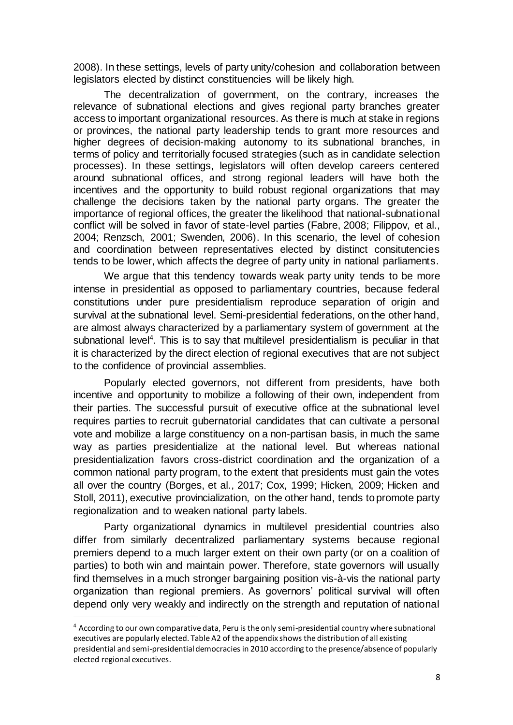2008). In these settings, levels of party unity/cohesion and collaboration between legislators elected by distinct constituencies will be likely high.

The decentralization of government, on the contrary, increases the relevance of subnational elections and gives regional party branches greater access to important organizational resources. As there is much at stake in regions or provinces, the national party leadership tends to grant more resources and higher degrees of decision-making autonomy to its subnational branches, in terms of policy and territorially focused strategies (such as in candidate selection processes). In these settings, legislators will often develop careers centered around subnational offices, and strong regional leaders will have both the incentives and the opportunity to build robust regional organizations that may challenge the decisions taken by the national party organs. The greater the importance of regional offices, the greater the likelihood that national-subnational conflict will be solved in favor of state-level parties (Fabre, 2008; Filippov, et al., 2004; Renzsch, 2001; Swenden, 2006). In this scenario, the level of cohesion and coordination between representatives elected by distinct consitutencies tends to be lower, which affects the degree of party unity in national parliaments.

We argue that this tendency towards weak party unity tends to be more intense in presidential as opposed to parliamentary countries, because federal constitutions under pure presidentialism reproduce separation of origin and survival at the subnational level. Semi-presidential federations, on the other hand, are almost always characterized by a parliamentary system of government at the subnational level<sup>4</sup>. This is to say that multilevel presidentialism is peculiar in that it is characterized by the direct election of regional executives that are not subject to the confidence of provincial assemblies.

Popularly elected governors, not different from presidents, have both incentive and opportunity to mobilize a following of their own, independent from their parties. The successful pursuit of executive office at the subnational level requires parties to recruit gubernatorial candidates that can cultivate a personal vote and mobilize a large constituency on a non-partisan basis, in much the same way as parties presidentialize at the national level. But whereas national presidentialization favors cross-district coordination and the organization of a common national party program, to the extent that presidents must gain the votes all over the country (Borges, et al., 2017; Cox, 1999; Hicken, 2009; Hicken and Stoll, 2011), executive provincialization, on the other hand, tends to promote party regionalization and to weaken national party labels.

Party organizational dynamics in multilevel presidential countries also differ from similarly decentralized parliamentary systems because regional premiers depend to a much larger extent on their own party (or on a coalition of parties) to both win and maintain power. Therefore, state governors will usually find themselves in a much stronger bargaining position vis-à-vis the national party organization than regional premiers. As governors' political survival will often depend only very weakly and indirectly on the strength and reputation of national

<sup>4</sup> According to our own comparative data, Peru is the only semi-presidential country where subnational executives are popularly elected. Table A2 of the appendix shows the distribution of all existing presidential and semi-presidential democracies in 2010 according to the presence/absence of popularly elected regional executives.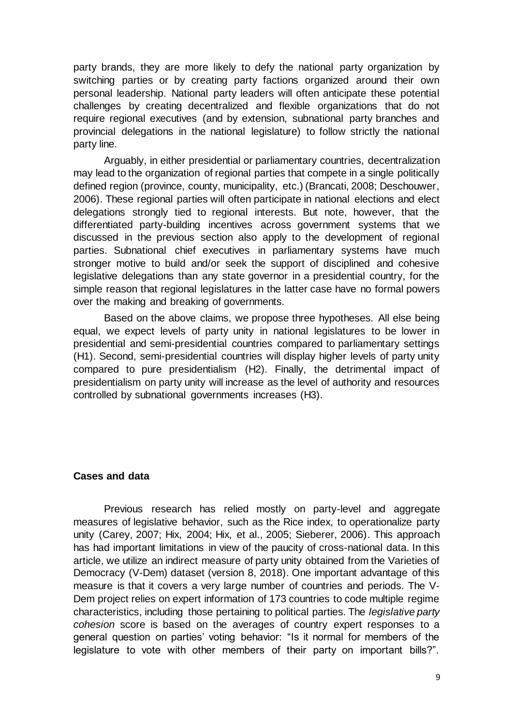party brands, they are more likely to defy the national party organization by switching parties or by creating party factions organized around their own personal leadership. National party leaders will often anticipate these potential challenges by creating decentralized and flexible organizations that do not require regional executives (and by extension, subnational party branches and provincial delegations in the national legislature) to follow strictly the national party line.

Arguably, in either presidential or parliamentary countries, decentralization may lead to the organization of regional parties that compete in a single politically defined region (province, county, municipality, etc.) (Brancati, 2008; Deschouwer, 2006). These regional parties will often participate in national elections and elect delegations strongly tied to regional interests. But note, however, that the differentiated party-building incentives across government systems that we discussed in the previous section also apply to the development of regional parties. Subnational chief executives in parliamentary systems have much stronger motive to build and/or seek the support of disciplined and cohesive legislative delegations than any state governor in a presidential country, for the simple reason that regional legislatures in the latter case have no formal powers over the making and breaking of governments.

Based on the above claims, we propose three hypotheses. All else being equal, we expect levels of party unity in national legislatures to be lower in presidential and semi-presidential countries compared to parliamentary settings (H1). Second, semi-presidential countries will display higher levels of party unity compared to pure presidentialism (H2). Finally, the detrimental impact of presidentialism on party unity will increase as the level of authority and resources controlled by subnational governments increases (H3).

# **Cases and data**

Previous research has relied mostly on party-level and aggregate measures of legislative behavior, such as the Rice index, to operationalize party unity (Carey, 2007; Hix, 2004; Hix, et al., 2005; Sieberer, 2006). This approach has had important limitations in view of the paucity of cross-national data. In this article, we utilize an indirect measure of party unity obtained from the Varieties of Democracy (V-Dem) dataset (version 8, 2018). One important advantage of this measure is that it covers a very large number of countries and periods. The V-Dem project relies on expert information of 173 countries to code multiple regime characteristics, including those pertaining to political parties. The *legislative party cohesion* score is based on the averages of country expert responses to a general question on parties' voting behavior: "Is it normal for members of the legislature to vote with other members of their party on important bills?".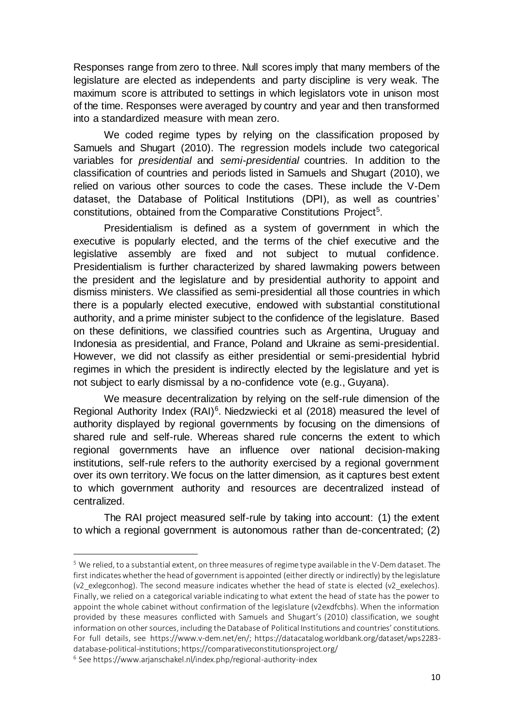Responses range from zero to three. Null scores imply that many members of the legislature are elected as independents and party discipline is very weak. The maximum score is attributed to settings in which legislators vote in unison most of the time. Responses were averaged by country and year and then transformed into a standardized measure with mean zero.

We coded regime types by relying on the classification proposed by Samuels and Shugart (2010). The regression models include two categorical variables for *presidential* and *semi-presidential* countries. In addition to the classification of countries and periods listed in Samuels and Shugart (2010), we relied on various other sources to code the cases. These include the V-Dem dataset, the Database of Political Institutions (DPI), as well as countries' constitutions, obtained from the Comparative Constitutions Project<sup>5</sup>.

Presidentialism is defined as a system of government in which the executive is popularly elected, and the terms of the chief executive and the legislative assembly are fixed and not subject to mutual confidence. Presidentialism is further characterized by shared lawmaking powers between the president and the legislature and by presidential authority to appoint and dismiss ministers. We classified as semi-presidential all those countries in which there is a popularly elected executive, endowed with substantial constitutional authority, and a prime minister subject to the confidence of the legislature. Based on these definitions, we classified countries such as Argentina, Uruguay and Indonesia as presidential, and France, Poland and Ukraine as semi-presidential. However, we did not classify as either presidential or semi-presidential hybrid regimes in which the president is indirectly elected by the legislature and yet is not subject to early dismissal by a no-confidence vote (e.g., Guyana).

We measure decentralization by relying on the self-rule dimension of the Regional Authority Index (RAI)<sup>6</sup>. Niedzwiecki et al (2018) measured the level of authority displayed by regional governments by focusing on the dimensions of shared rule and self-rule. Whereas shared rule concerns the extent to which regional governments have an influence over national decision-making institutions, self-rule refers to the authority exercised by a regional government over its own territory. We focus on the latter dimension, as it captures best extent to which government authority and resources are decentralized instead of centralized.

The RAI project measured self-rule by taking into account: (1) the extent to which a regional government is autonomous rather than de-concentrated; (2)

<sup>&</sup>lt;sup>5</sup> We relied, to a substantial extent, on three measures of regime type available in the V-Dem dataset. The first indicates whether the head of government is appointed (either directly or indirectly) by the legislature (v2\_exlegconhog). The second measure indicates whether the head of state is elected (v2\_exelechos). Finally, we relied on a categorical variable indicating to what extent the head of state has the power to appoint the whole cabinet without confirmation of the legislature (v2exdfcbhs). When the information provided by these measures conflicted with Samuels and Shugart's (2010) classification, we sought information on other sources, including the Database of Political Institutions and countries' constitutions. For full details, see https://www.v-dem.net/en/; https://datacatalog.worldbank.org/dataset/wps2283 database-political-institutions; https://comparativeconstitutionsproject.org/

<sup>6</sup> See https://www.arjanschakel.nl/index.php/regional-authority-index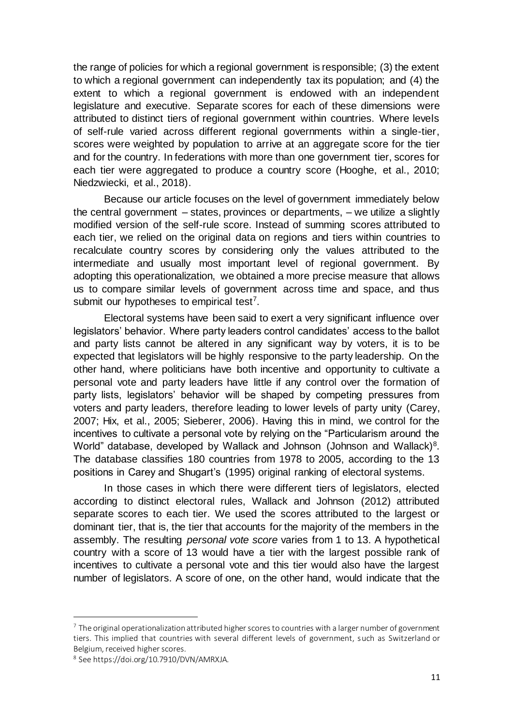the range of policies for which a regional government is responsible; (3) the extent to which a regional government can independently tax its population; and (4) the extent to which a regional government is endowed with an independent legislature and executive. Separate scores for each of these dimensions were attributed to distinct tiers of regional government within countries. Where levels of self-rule varied across different regional governments within a single-tier, scores were weighted by population to arrive at an aggregate score for the tier and for the country. In federations with more than one government tier, scores for each tier were aggregated to produce a country score (Hooghe, et al., 2010; Niedzwiecki, et al., 2018).

Because our article focuses on the level of government immediately below the central government – states, provinces or departments, – we utilize a slightly modified version of the self-rule score. Instead of summing scores attributed to each tier, we relied on the original data on regions and tiers within countries to recalculate country scores by considering only the values attributed to the intermediate and usually most important level of regional government. By adopting this operationalization, we obtained a more precise measure that allows us to compare similar levels of government across time and space, and thus submit our hypotheses to empirical test<sup>7</sup>.

Electoral systems have been said to exert a very significant influence over legislators' behavior. Where party leaders control candidates' access to the ballot and party lists cannot be altered in any significant way by voters, it is to be expected that legislators will be highly responsive to the party leadership. On the other hand, where politicians have both incentive and opportunity to cultivate a personal vote and party leaders have little if any control over the formation of party lists, legislators' behavior will be shaped by competing pressures from voters and party leaders, therefore leading to lower levels of party unity (Carey, 2007; Hix, et al., 2005; Sieberer, 2006). Having this in mind, we control for the incentives to cultivate a personal vote by relying on the "Particularism around the World" database, developed by Wallack and Johnson (Johnson and Wallack)<sup>8</sup>. The database classifies 180 countries from 1978 to 2005, according to the 13 positions in Carey and Shugart's (1995) original ranking of electoral systems.

In those cases in which there were different tiers of legislators, elected according to distinct electoral rules, Wallack and Johnson (2012) attributed separate scores to each tier. We used the scores attributed to the largest or dominant tier, that is, the tier that accounts for the majority of the members in the assembly. The resulting *personal vote score* varies from 1 to 13. A hypothetical country with a score of 13 would have a tier with the largest possible rank of incentives to cultivate a personal vote and this tier would also have the largest number of legislators. A score of one, on the other hand, would indicate that the

 $7$  The original operationalization attributed higher scores to countries with a larger number of government tiers. This implied that countries with several different levels of government, such as Switzerland or Belgium, received higher scores.

<sup>8</sup> See https://doi.org/10.7910/DVN/AMRXJA.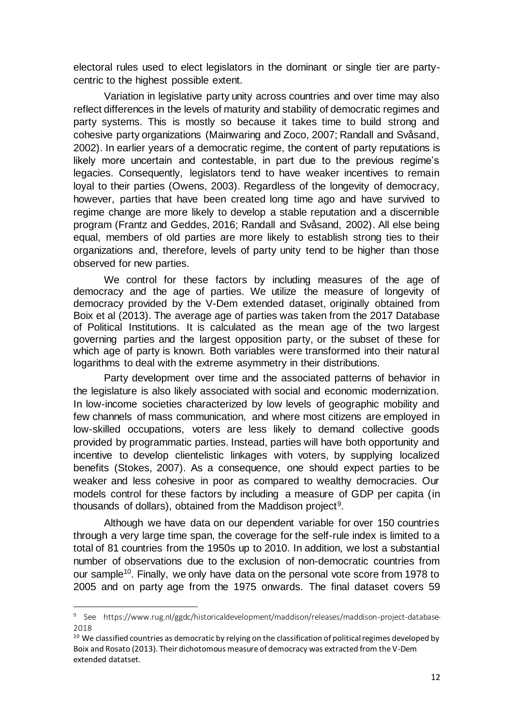electoral rules used to elect legislators in the dominant or single tier are partycentric to the highest possible extent.

Variation in legislative party unity across countries and over time may also reflect differences in the levels of maturity and stability of democratic regimes and party systems. This is mostly so because it takes time to build strong and cohesive party organizations (Mainwaring and Zoco, 2007; Randall and Svåsand, 2002). In earlier years of a democratic regime, the content of party reputations is likely more uncertain and contestable, in part due to the previous regime's legacies. Consequently, legislators tend to have weaker incentives to remain loyal to their parties (Owens, 2003). Regardless of the longevity of democracy, however, parties that have been created long time ago and have survived to regime change are more likely to develop a stable reputation and a discernible program (Frantz and Geddes, 2016; Randall and Svåsand, 2002). All else being equal, members of old parties are more likely to establish strong ties to their organizations and, therefore, levels of party unity tend to be higher than those observed for new parties.

We control for these factors by including measures of the age of democracy and the age of parties. We utilize the measure of longevity of democracy provided by the V-Dem extended dataset, originally obtained from Boix et al (2013). The average age of parties was taken from the 2017 Database of Political Institutions. It is calculated as the mean age of the two largest governing parties and the largest opposition party, or the subset of these for which age of party is known. Both variables were transformed into their natural logarithms to deal with the extreme asymmetry in their distributions.

Party development over time and the associated patterns of behavior in the legislature is also likely associated with social and economic modernization. In low-income societies characterized by low levels of geographic mobility and few channels of mass communication, and where most citizens are employed in low-skilled occupations, voters are less likely to demand collective goods provided by programmatic parties. Instead, parties will have both opportunity and incentive to develop clientelistic linkages with voters, by supplying localized benefits (Stokes, 2007). As a consequence, one should expect parties to be weaker and less cohesive in poor as compared to wealthy democracies. Our models control for these factors by including a measure of GDP per capita (in thousands of dollars), obtained from the Maddison project<sup>9</sup>.

Although we have data on our dependent variable for over 150 countries through a very large time span, the coverage for the self-rule index is limited to a total of 81 countries from the 1950s up to 2010. In addition, we lost a substantial number of observations due to the exclusion of non-democratic countries from our sample<sup>10</sup>. Finally, we only have data on the personal vote score from 1978 to 2005 and on party age from the 1975 onwards*.* The final dataset covers 59

<sup>&</sup>lt;sup>9</sup> See https://www.rug.nl/ggdc/historicaldevelopment/maddison/releases/maddison-project-database-2018

<sup>&</sup>lt;sup>10</sup> We classified countries as democratic by relying on the classification of political regimes developed by Boix and Rosato (2013). Their dichotomous measure of democracy was extracted from the V-Dem extended datatset.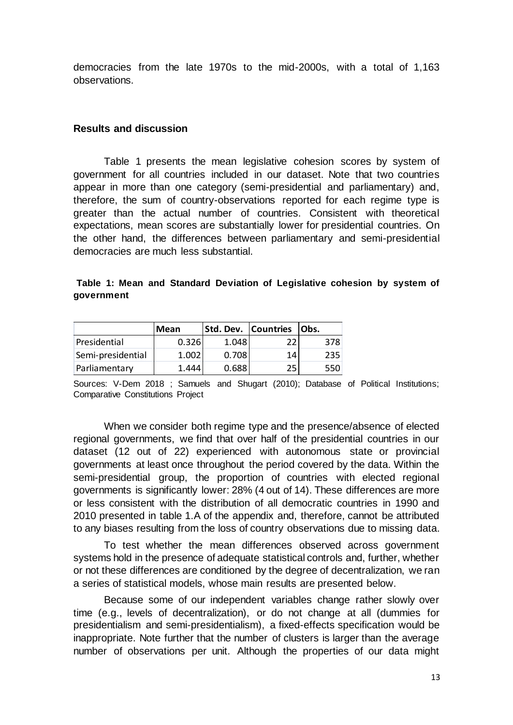democracies from the late 1970s to the mid-2000s, with a total of 1,163 observations.

### **Results and discussion**

Table 1 presents the mean legislative cohesion scores by system of government for all countries included in our dataset. Note that two countries appear in more than one category (semi-presidential and parliamentary) and, therefore, the sum of country-observations reported for each regime type is greater than the actual number of countries. Consistent with theoretical expectations, mean scores are substantially lower for presidential countries. On the other hand, the differences between parliamentary and semi-presidential democracies are much less substantial.

|            |  |  |  | Table 1: Mean and Standard Deviation of Legislative cohesion by system of |  |  |
|------------|--|--|--|---------------------------------------------------------------------------|--|--|
| government |  |  |  |                                                                           |  |  |

|                   | <b>Mean</b> | Std. Dev.   Countries |    | Obs. |
|-------------------|-------------|-----------------------|----|------|
| Presidential      | 0.326       | 1.048                 | 22 | 378  |
| Semi-presidential | 1.002       | 0.708                 | 14 | 235  |
| Parliamentary     | 1.444       | 0.688                 | 25 | 550  |

Sources: V-Dem 2018 ; Samuels and Shugart (2010); Database of Political Institutions; Comparative Constitutions Project

When we consider both regime type and the presence/absence of elected regional governments, we find that over half of the presidential countries in our dataset (12 out of 22) experienced with autonomous state or provincial governments at least once throughout the period covered by the data. Within the semi-presidential group, the proportion of countries with elected regional governments is significantly lower: 28% (4 out of 14). These differences are more or less consistent with the distribution of all democratic countries in 1990 and 2010 presented in table 1.A of the appendix and, therefore, cannot be attributed to any biases resulting from the loss of country observations due to missing data.

To test whether the mean differences observed across government systems hold in the presence of adequate statistical controls and, further, whether or not these differences are conditioned by the degree of decentralization, we ran a series of statistical models, whose main results are presented below.

Because some of our independent variables change rather slowly over time (e.g., levels of decentralization), or do not change at all (dummies for presidentialism and semi-presidentialism), a fixed-effects specification would be inappropriate. Note further that the number of clusters is larger than the average number of observations per unit. Although the properties of our data might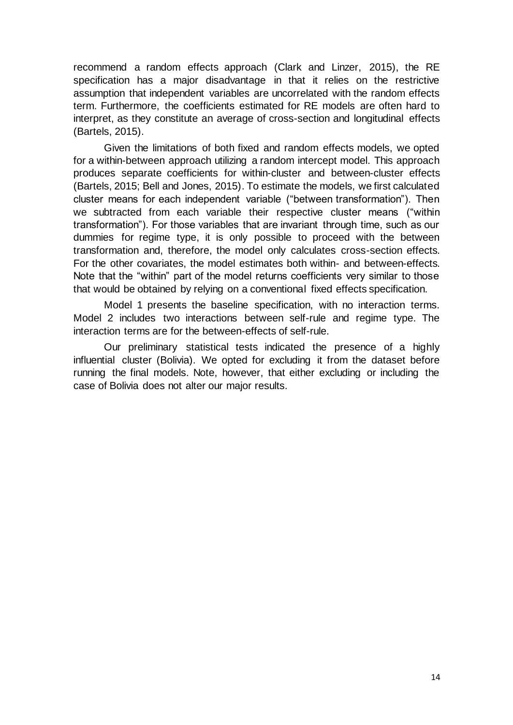recommend a random effects approach (Clark and Linzer, 2015), the RE specification has a major disadvantage in that it relies on the restrictive assumption that independent variables are uncorrelated with the random effects term. Furthermore, the coefficients estimated for RE models are often hard to interpret, as they constitute an average of cross-section and longitudinal effects (Bartels, 2015).

Given the limitations of both fixed and random effects models, we opted for a within-between approach utilizing a random intercept model. This approach produces separate coefficients for within-cluster and between-cluster effects (Bartels, 2015; Bell and Jones, 2015). To estimate the models, we first calculated cluster means for each independent variable ("between transformation"). Then we subtracted from each variable their respective cluster means ("within transformation"). For those variables that are invariant through time, such as our dummies for regime type, it is only possible to proceed with the between transformation and, therefore, the model only calculates cross-section effects. For the other covariates, the model estimates both within- and between-effects. Note that the "within" part of the model returns coefficients very similar to those that would be obtained by relying on a conventional fixed effects specification.

Model 1 presents the baseline specification, with no interaction terms. Model 2 includes two interactions between self-rule and regime type. The interaction terms are for the between-effects of self-rule.

Our preliminary statistical tests indicated the presence of a highly influential cluster (Bolivia). We opted for excluding it from the dataset before running the final models. Note, however, that either excluding or including the case of Bolivia does not alter our major results.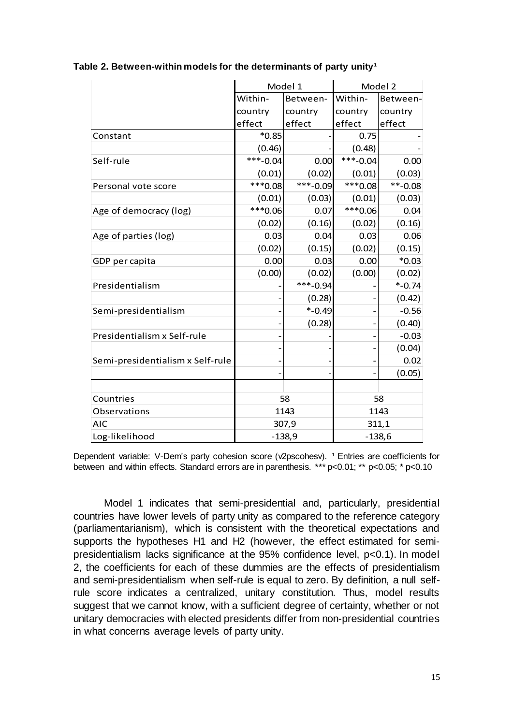|                                  |            | Model 1    | Model 2    |           |  |
|----------------------------------|------------|------------|------------|-----------|--|
|                                  | Within-    | Between-   | Within-    | Between-  |  |
|                                  | country    | country    | country    | country   |  |
|                                  | effect     | effect     | effect     | effect    |  |
| Constant                         | $*0.85$    |            | 0.75       |           |  |
|                                  | (0.46)     |            | (0.48)     |           |  |
| Self-rule                        | $***-0.04$ | 0.00       | $***-0.04$ | 0.00      |  |
|                                  | (0.01)     | (0.02)     | (0.01)     | (0.03)    |  |
| Personal vote score              | ***0.08    | $***-0.09$ | ***0.08    | $**-0.08$ |  |
|                                  | (0.01)     | (0.03)     | (0.01)     | (0.03)    |  |
| Age of democracy (log)           | ***0.06    | 0.07       | ***0.06    | 0.04      |  |
|                                  | (0.02)     | (0.16)     | (0.02)     | (0.16)    |  |
| Age of parties (log)             | 0.03       | 0.04       | 0.03       | 0.06      |  |
|                                  | (0.02)     | (0.15)     | (0.02)     | (0.15)    |  |
| GDP per capita                   | 0.00       | 0.03       | 0.00       | $*0.03$   |  |
|                                  | (0.00)     | (0.02)     | (0.00)     | (0.02)    |  |
| Presidentialism                  |            | $***-0.94$ |            | $* -0.74$ |  |
|                                  |            | (0.28)     |            | (0.42)    |  |
| Semi-presidentialism             |            | $* -0.49$  |            | $-0.56$   |  |
|                                  |            | (0.28)     |            | (0.40)    |  |
| Presidentialism x Self-rule      |            |            |            | $-0.03$   |  |
|                                  |            |            |            | (0.04)    |  |
| Semi-presidentialism x Self-rule |            |            |            | 0.02      |  |
|                                  |            |            |            | (0.05)    |  |
|                                  |            |            |            |           |  |
| Countries                        |            | 58         | 58         |           |  |
| Observations                     |            | 1143       | 1143       |           |  |
| <b>AIC</b>                       |            | 307,9      | 311,1      |           |  |
| Log-likelihood                   |            | $-138,9$   | $-138,6$   |           |  |

Table 2. Between-within models for the determinants of party unity<sup>1</sup>

Dependent variable: V-Dem's party cohesion score (v2pscohesv). <sup>1</sup> Entries are coefficients for between and within effects. Standard errors are in parenthesis. \*\*\* p<0.01; \*\* p<0.05; \* p<0.10

Model 1 indicates that semi-presidential and, particularly, presidential countries have lower levels of party unity as compared to the reference category (parliamentarianism), which is consistent with the theoretical expectations and supports the hypotheses H1 and H2 (however, the effect estimated for semipresidentialism lacks significance at the 95% confidence level, p<0.1). In model 2, the coefficients for each of these dummies are the effects of presidentialism and semi-presidentialism when self-rule is equal to zero. By definition, a null selfrule score indicates a centralized, unitary constitution. Thus, model results suggest that we cannot know, with a sufficient degree of certainty, whether or not unitary democracies with elected presidents differ from non-presidential countries in what concerns average levels of party unity.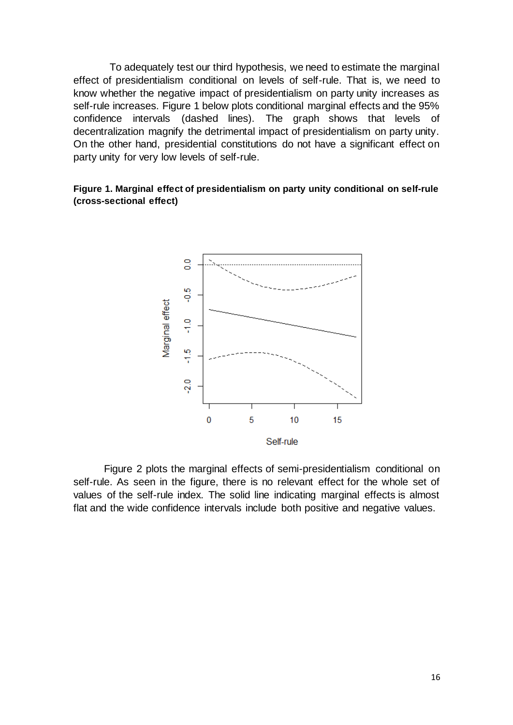To adequately test our third hypothesis, we need to estimate the marginal effect of presidentialism conditional on levels of self-rule. That is, we need to know whether the negative impact of presidentialism on party unity increases as self-rule increases. Figure 1 below plots conditional marginal effects and the 95% confidence intervals (dashed lines). The graph shows that levels of decentralization magnify the detrimental impact of presidentialism on party unity. On the other hand, presidential constitutions do not have a significant effect on party unity for very low levels of self-rule.

#### **Figure 1. Marginal effect of presidentialism on party unity conditional on self-rule (cross-sectional effect)**



Figure 2 plots the marginal effects of semi-presidentialism conditional on self-rule. As seen in the figure, there is no relevant effect for the whole set of values of the self-rule index. The solid line indicating marginal effects is almost flat and the wide confidence intervals include both positive and negative values.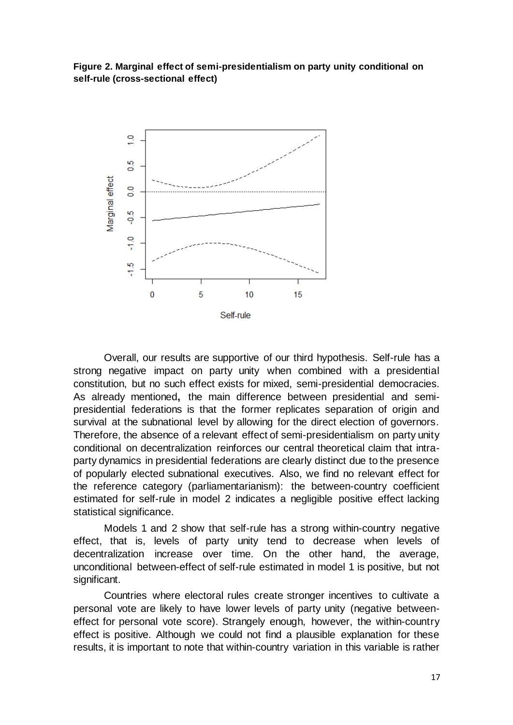#### **Figure 2. Marginal effect of semi-presidentialism on party unity conditional on self-rule (cross-sectional effect)**



Overall, our results are supportive of our third hypothesis. Self-rule has a strong negative impact on party unity when combined with a presidential constitution, but no such effect exists for mixed, semi-presidential democracies. As already mentioned**,** the main difference between presidential and semipresidential federations is that the former replicates separation of origin and survival at the subnational level by allowing for the direct election of governors. Therefore, the absence of a relevant effect of semi-presidentialism on party unity conditional on decentralization reinforces our central theoretical claim that intraparty dynamics in presidential federations are clearly distinct due to the presence of popularly elected subnational executives. Also, we find no relevant effect for the reference category (parliamentarianism): the between-country coefficient estimated for self-rule in model 2 indicates a negligible positive effect lacking statistical significance.

Models 1 and 2 show that self-rule has a strong within-country negative effect, that is, levels of party unity tend to decrease when levels of decentralization increase over time. On the other hand, the average, unconditional between-effect of self-rule estimated in model 1 is positive, but not significant.

Countries where electoral rules create stronger incentives to cultivate a personal vote are likely to have lower levels of party unity (negative betweeneffect for personal vote score). Strangely enough, however, the within-country effect is positive. Although we could not find a plausible explanation for these results, it is important to note that within-country variation in this variable is rather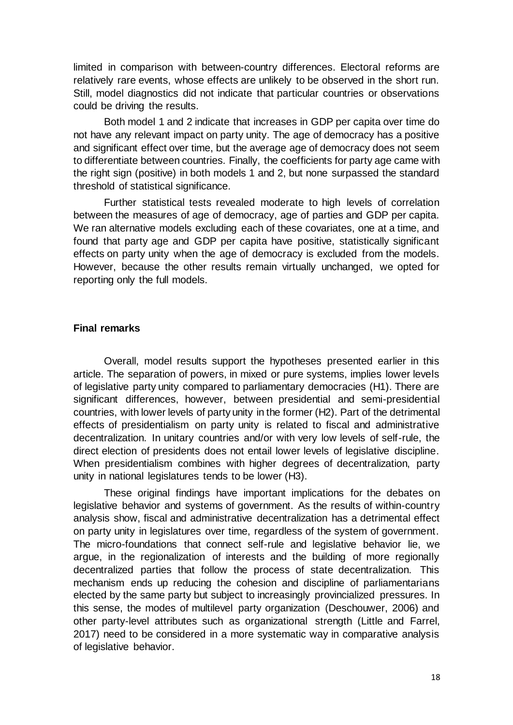limited in comparison with between-country differences. Electoral reforms are relatively rare events, whose effects are unlikely to be observed in the short run. Still, model diagnostics did not indicate that particular countries or observations could be driving the results.

Both model 1 and 2 indicate that increases in GDP per capita over time do not have any relevant impact on party unity. The age of democracy has a positive and significant effect over time, but the average age of democracy does not seem to differentiate between countries. Finally, the coefficients for party age came with the right sign (positive) in both models 1 and 2, but none surpassed the standard threshold of statistical significance.

Further statistical tests revealed moderate to high levels of correlation between the measures of age of democracy, age of parties and GDP per capita. We ran alternative models excluding each of these covariates, one at a time, and found that party age and GDP per capita have positive, statistically significant effects on party unity when the age of democracy is excluded from the models. However, because the other results remain virtually unchanged, we opted for reporting only the full models.

#### **Final remarks**

Overall, model results support the hypotheses presented earlier in this article. The separation of powers, in mixed or pure systems, implies lower levels of legislative party unity compared to parliamentary democracies (H1). There are significant differences, however, between presidential and semi-presidential countries, with lower levels of party unity in the former (H2). Part of the detrimental effects of presidentialism on party unity is related to fiscal and administrative decentralization. In unitary countries and/or with very low levels of self-rule, the direct election of presidents does not entail lower levels of legislative discipline. When presidentialism combines with higher degrees of decentralization, party unity in national legislatures tends to be lower (H3).

These original findings have important implications for the debates on legislative behavior and systems of government. As the results of within-country analysis show, fiscal and administrative decentralization has a detrimental effect on party unity in legislatures over time, regardless of the system of government. The micro-foundations that connect self-rule and legislative behavior lie, we argue, in the regionalization of interests and the building of more regionally decentralized parties that follow the process of state decentralization. This mechanism ends up reducing the cohesion and discipline of parliamentarians elected by the same party but subject to increasingly provincialized pressures. In this sense, the modes of multilevel party organization (Deschouwer, 2006) and other party-level attributes such as organizational strength (Little and Farrel, 2017) need to be considered in a more systematic way in comparative analysis of legislative behavior.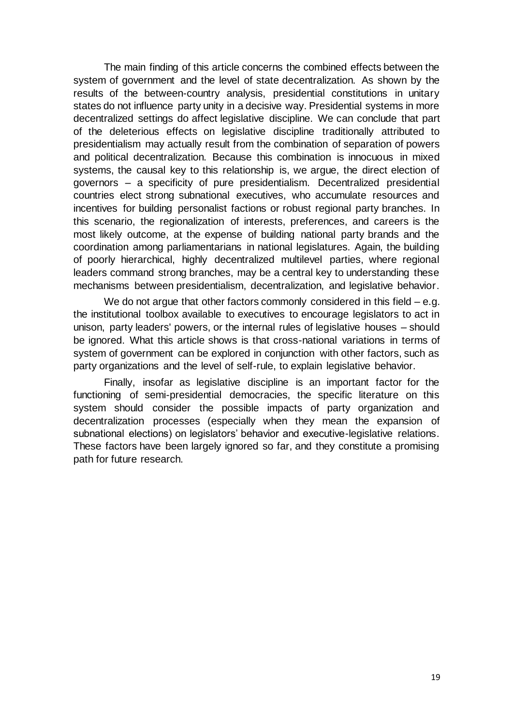The main finding of this article concerns the combined effects between the system of government and the level of state decentralization. As shown by the results of the between-country analysis, presidential constitutions in unitary states do not influence party unity in a decisive way. Presidential systems in more decentralized settings do affect legislative discipline. We can conclude that part of the deleterious effects on legislative discipline traditionally attributed to presidentialism may actually result from the combination of separation of powers and political decentralization. Because this combination is innocuous in mixed systems, the causal key to this relationship is, we argue, the direct election of governors – a specificity of pure presidentialism. Decentralized presidential countries elect strong subnational executives, who accumulate resources and incentives for building personalist factions or robust regional party branches. In this scenario, the regionalization of interests, preferences, and careers is the most likely outcome, at the expense of building national party brands and the coordination among parliamentarians in national legislatures. Again, the building of poorly hierarchical, highly decentralized multilevel parties, where regional leaders command strong branches, may be a central key to understanding these mechanisms between presidentialism, decentralization, and legislative behavior.

We do not argue that other factors commonly considered in this field  $-$  e.g. the institutional toolbox available to executives to encourage legislators to act in unison, party leaders' powers, or the internal rules of legislative houses – should be ignored. What this article shows is that cross-national variations in terms of system of government can be explored in conjunction with other factors, such as party organizations and the level of self-rule, to explain legislative behavior.

Finally, insofar as legislative discipline is an important factor for the functioning of semi-presidential democracies, the specific literature on this system should consider the possible impacts of party organization and decentralization processes (especially when they mean the expansion of subnational elections) on legislators' behavior and executive-legislative relations. These factors have been largely ignored so far, and they constitute a promising path for future research.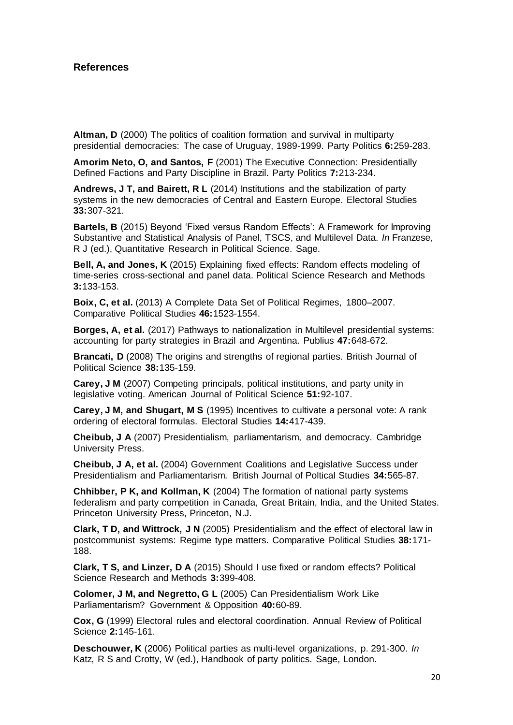#### **References**

**Altman, D** (2000) The politics of coalition formation and survival in multiparty presidential democracies: The case of Uruguay, 1989-1999. Party Politics **6:**259-283.

**Amorim Neto, O, and Santos, F** (2001) The Executive Connection: Presidentially Defined Factions and Party Discipline in Brazil. Party Politics **7:**213-234.

**Andrews, J T, and Bairett, R L** (2014) Institutions and the stabilization of party systems in the new democracies of Central and Eastern Europe. Electoral Studies **33:**307-321.

**Bartels, B** (2015) Beyond 'Fixed versus Random Effects': A Framework for Improving Substantive and Statistical Analysis of Panel, TSCS, and Multilevel Data. *In* Franzese, R J (ed.), Quantitative Research in Political Science. Sage.

**Bell, A, and Jones, K** (2015) Explaining fixed effects: Random effects modeling of time-series cross-sectional and panel data. Political Science Research and Methods **3:**133-153.

**Boix, C, et al.** (2013) A Complete Data Set of Political Regimes, 1800–2007. Comparative Political Studies **46:**1523-1554.

**Borges, A, et al.** (2017) Pathways to nationalization in Multilevel presidential systems: accounting for party strategies in Brazil and Argentina. Publius **47:**648-672.

**Brancati, D** (2008) The origins and strengths of regional parties. British Journal of Political Science **38:**135-159.

**Carey, J M** (2007) Competing principals, political institutions, and party unity in legislative voting. American Journal of Political Science **51:**92-107.

**Carey, J M, and Shugart, M S** (1995) Incentives to cultivate a personal vote: A rank ordering of electoral formulas. Electoral Studies **14:**417-439.

**Cheibub, J A** (2007) Presidentialism, parliamentarism, and democracy. Cambridge University Press.

**Cheibub, J A, et al.** (2004) Government Coalitions and Legislative Success under Presidentialism and Parliamentarism. British Journal of Poltical Studies **34:**565-87.

**Chhibber, P K, and Kollman, K** (2004) The formation of national party systems federalism and party competition in Canada, Great Britain, India, and the United States. Princeton University Press, Princeton, N.J.

**Clark, T D, and Wittrock, J N** (2005) Presidentialism and the effect of electoral law in postcommunist systems: Regime type matters. Comparative Political Studies **38:**171- 188.

**Clark, T S, and Linzer, D A** (2015) Should I use fixed or random effects? Political Science Research and Methods **3:**399-408.

**Colomer, J M, and Negretto, G L** (2005) Can Presidentialism Work Like Parliamentarism? Government & Opposition **40:**60-89.

**Cox, G** (1999) Electoral rules and electoral coordination. Annual Review of Political Science **2:**145-161.

**Deschouwer, K** (2006) Political parties as multi-level organizations, p. 291-300. *In* Katz, R S and Crotty, W (ed.), Handbook of party politics. Sage, London.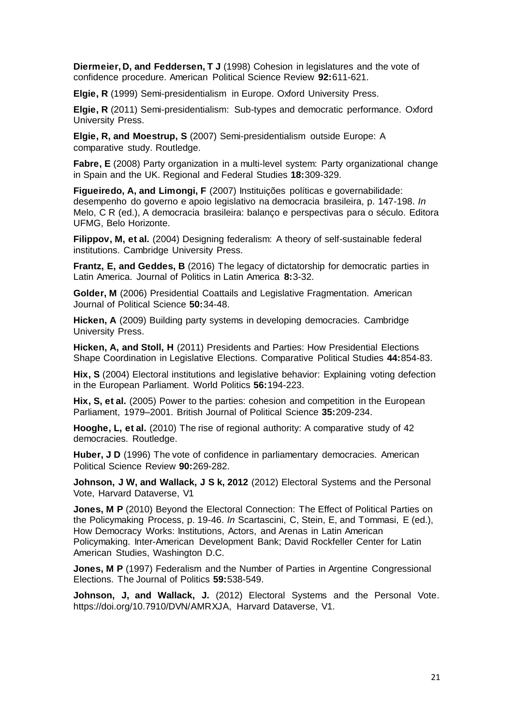**Diermeier, D, and Feddersen, T J** (1998) Cohesion in legislatures and the vote of confidence procedure. American Political Science Review **92:**611-621.

**Elgie, R** (1999) Semi-presidentialism in Europe. Oxford University Press.

**Elgie, R** (2011) Semi-presidentialism: Sub-types and democratic performance. Oxford University Press.

**Elgie, R, and Moestrup, S** (2007) Semi-presidentialism outside Europe: A comparative study. Routledge.

**Fabre, E** (2008) Party organization in a multi-level system: Party organizational change in Spain and the UK. Regional and Federal Studies **18:**309-329.

**Figueiredo, A, and Limongi, F** (2007) Instituições políticas e governabilidade: desempenho do governo e apoio legislativo na democracia brasileira, p. 147-198. *In* Melo, C R (ed.), A democracia brasileira: balanço e perspectivas para o século. Editora UFMG, Belo Horizonte.

**Filippov, M, et al.** (2004) Designing federalism: A theory of self-sustainable federal institutions. Cambridge University Press.

**Frantz, E, and Geddes, B** (2016) The legacy of dictatorship for democratic parties in Latin America. Journal of Politics in Latin America **8:**3-32.

**Golder, M** (2006) Presidential Coattails and Legislative Fragmentation. American Journal of Political Science **50:**34-48.

**Hicken, A** (2009) Building party systems in developing democracies. Cambridge University Press.

**Hicken, A, and Stoll, H** (2011) Presidents and Parties: How Presidential Elections Shape Coordination in Legislative Elections. Comparative Political Studies **44:**854-83.

**Hix, S** (2004) Electoral institutions and legislative behavior: Explaining voting defection in the European Parliament. World Politics **56:**194-223.

**Hix, S, et al.** (2005) Power to the parties: cohesion and competition in the European Parliament, 1979–2001. British Journal of Political Science **35:**209-234.

**Hooghe, L, et al.** (2010) The rise of regional authority: A comparative study of 42 democracies. Routledge.

**Huber, J D** (1996) The vote of confidence in parliamentary democracies. American Political Science Review **90:**269-282.

**Johnson, J W, and Wallack, J S k, 2012** (2012) Electoral Systems and the Personal Vote, Harvard Dataverse, V1

**Jones, M P** (2010) Beyond the Electoral Connection: The Effect of Political Parties on the Policymaking Process, p. 19-46. *In* Scartascini, C, Stein, E, and Tommasi, E (ed.), How Democracy Works: Institutions, Actors, and Arenas in Latin American Policymaking. Inter-American Development Bank; David Rockfeller Center for Latin American Studies, Washington D.C.

**Jones, M P** (1997) Federalism and the Number of Parties in Argentine Congressional Elections. The Journal of Politics **59:**538-549.

**Johnson, J, and Wallack, J.** (2012) Electoral Systems and the Personal Vote. https://doi.org/10.7910/DVN/AMRXJA, Harvard Dataverse, V1.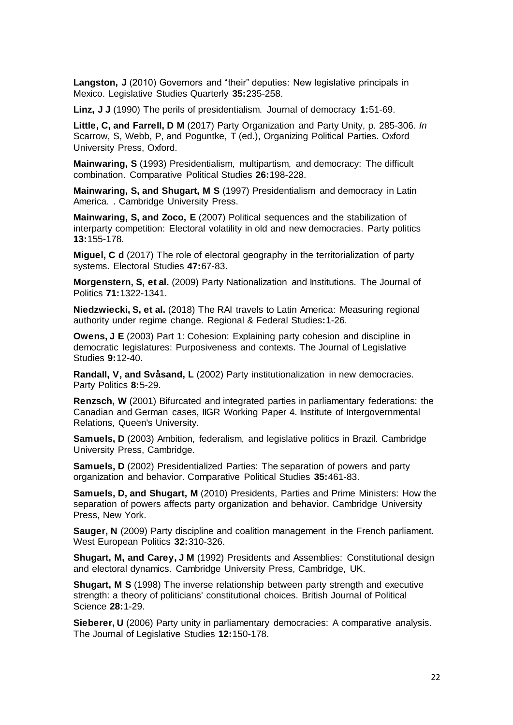**Langston, J** (2010) Governors and "their" deputies: New legislative principals in Mexico. Legislative Studies Quarterly **35:**235-258.

**Linz, J J** (1990) The perils of presidentialism. Journal of democracy **1:**51-69.

**Little, C, and Farrell, D M** (2017) Party Organization and Party Unity, p. 285-306. *In* Scarrow, S, Webb, P, and Poguntke, T (ed.), Organizing Political Parties. Oxford University Press, Oxford.

**Mainwaring, S** (1993) Presidentialism, multipartism, and democracy: The difficult combination. Comparative Political Studies **26:**198-228.

**Mainwaring, S, and Shugart, M S** (1997) Presidentialism and democracy in Latin America. . Cambridge University Press.

**Mainwaring, S, and Zoco, E** (2007) Political sequences and the stabilization of interparty competition: Electoral volatility in old and new democracies. Party politics **13:**155-178.

**Miguel, C d** (2017) The role of electoral geography in the territorialization of party systems. Electoral Studies **47:**67-83.

**Morgenstern, S, et al.** (2009) Party Nationalization and Institutions. The Journal of Politics **71:**1322-1341.

**Niedzwiecki, S, et al.** (2018) The RAI travels to Latin America: Measuring regional authority under regime change. Regional & Federal Studies**:**1-26.

**Owens, J E** (2003) Part 1: Cohesion: Explaining party cohesion and discipline in democratic legislatures: Purposiveness and contexts. The Journal of Legislative Studies **9:**12-40.

**Randall, V, and Svåsand, L** (2002) Party institutionalization in new democracies. Party Politics **8:**5-29.

**Renzsch, W** (2001) Bifurcated and integrated parties in parliamentary federations: the Canadian and German cases, IIGR Working Paper 4. Institute of Intergovernmental Relations, Queen's University.

**Samuels, D** (2003) Ambition, federalism, and legislative politics in Brazil. Cambridge University Press, Cambridge.

**Samuels, D** (2002) Presidentialized Parties: The separation of powers and party organization and behavior. Comparative Political Studies **35:**461-83.

**Samuels, D, and Shugart, M** (2010) Presidents, Parties and Prime Ministers: How the separation of powers affects party organization and behavior. Cambridge University Press, New York.

**Sauger, N** (2009) Party discipline and coalition management in the French parliament. West European Politics **32:**310-326.

**Shugart, M, and Carey, J M** (1992) Presidents and Assemblies: Constitutional design and electoral dynamics. Cambridge University Press, Cambridge, UK.

**Shugart, M S** (1998) The inverse relationship between party strength and executive strength: a theory of politicians' constitutional choices. British Journal of Political Science **28:**1-29.

**Sieberer, U** (2006) Party unity in parliamentary democracies: A comparative analysis. The Journal of Legislative Studies **12:**150-178.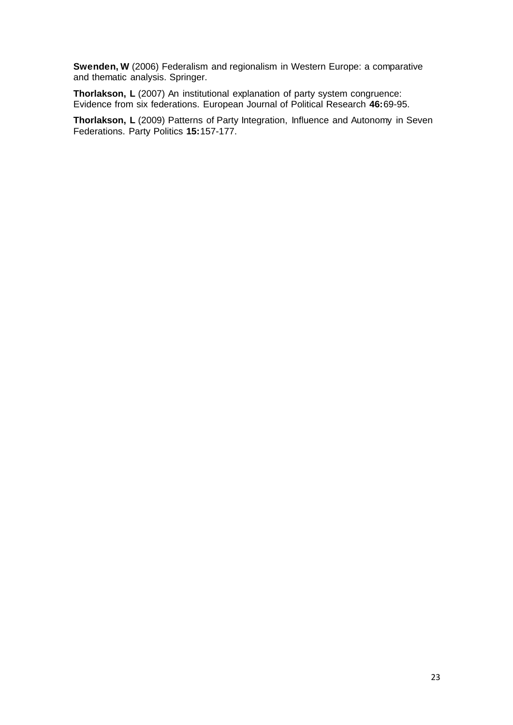**Swenden, W** (2006) Federalism and regionalism in Western Europe: a comparative and thematic analysis. Springer.

**Thorlakson, L** (2007) An institutional explanation of party system congruence: Evidence from six federations. European Journal of Political Research **46:**69-95.

**Thorlakson, L** (2009) Patterns of Party Integration, Influence and Autonomy in Seven Federations. Party Politics **15:**157-177.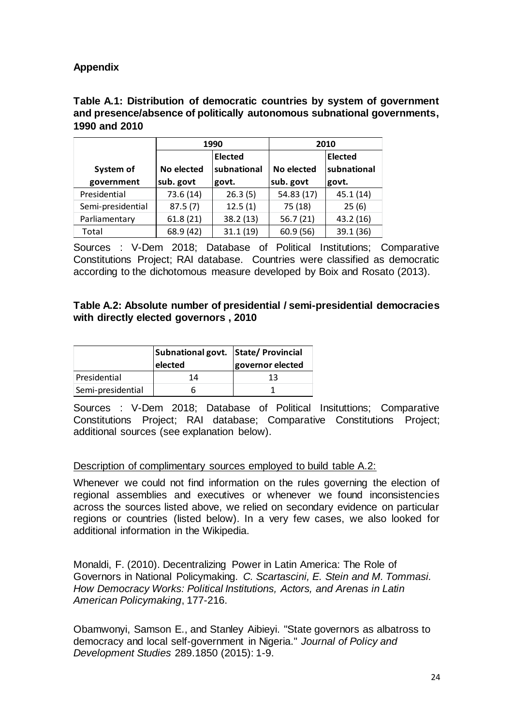# **Appendix**

# **Table A.1: Distribution of democratic countries by system of government and presence/absence of politically autonomous subnational governments, 1990 and 2010**

|                   |                           | 1990           | 2010       |                |  |
|-------------------|---------------------------|----------------|------------|----------------|--|
|                   |                           | <b>Elected</b> |            | <b>Elected</b> |  |
| System of         | subnational<br>No elected |                | No elected | subnational    |  |
| government        | sub. govt                 | govt.          | sub. govt  | govt.          |  |
| Presidential      | 73.6 (14)                 | 26.3(5)        | 54.83 (17) | 45.1(14)       |  |
| Semi-presidential | 87.5(7)                   | 12.5(1)        | 75 (18)    | 25(6)          |  |
| Parliamentary     | 61.8(21)                  | 38.2(13)       | 56.7(21)   | 43.2(16)       |  |
| Total             | 68.9 (42)                 | 31.1(19)       | 60.9(56)   | 39.1 (36)      |  |

Sources : V-Dem 2018; Database of Political Institutions; Comparative Constitutions Project; RAI database. Countries were classified as democratic according to the dichotomous measure developed by Boix and Rosato (2013).

# **Table A.2: Absolute number of presidential / semi-presidential democracies with directly elected governors , 2010**

|                   | Subnational govt. State/ Provincial<br>elected | governor elected |  |  |
|-------------------|------------------------------------------------|------------------|--|--|
| Presidential      | 14                                             | 13               |  |  |
| Semi-presidential |                                                |                  |  |  |

Sources : V-Dem 2018; Database of Political Insituttions; Comparative Constitutions Project; RAI database; Comparative Constitutions Project; additional sources (see explanation below).

Description of complimentary sources employed to build table A.2:

Whenever we could not find information on the rules governing the election of regional assemblies and executives or whenever we found inconsistencies across the sources listed above, we relied on secondary evidence on particular regions or countries (listed below). In a very few cases, we also looked for additional information in the Wikipedia.

Monaldi, F. (2010). Decentralizing Power in Latin America: The Role of Governors in National Policymaking. *C. Scartascini, E. Stein and M. Tommasi. How Democracy Works: Political Institutions, Actors, and Arenas in Latin American Policymaking*, 177-216.

Obamwonyi, Samson E., and Stanley Aibieyi. "State governors as albatross to democracy and local self-government in Nigeria." *Journal of Policy and Development Studies* 289.1850 (2015): 1-9.